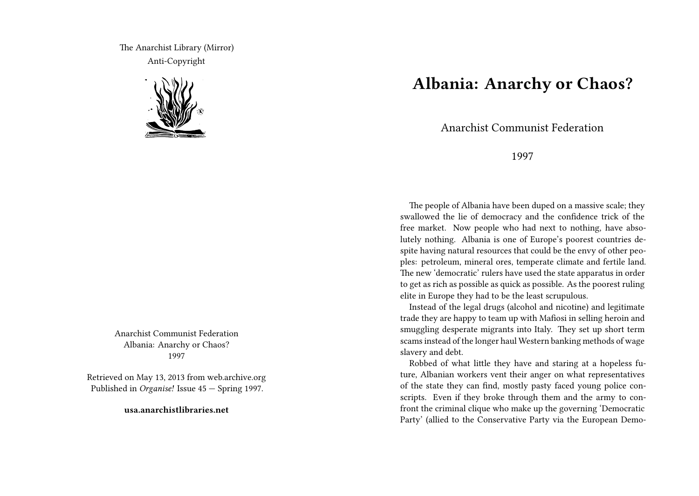The Anarchist Library (Mirror) Anti-Copyright



Anarchist Communist Federation Albania: Anarchy or Chaos? 1997

Retrieved on May 13, 2013 from web.archive.org Published in *Organise!* Issue 45 — Spring 1997.

**usa.anarchistlibraries.net**

## **Albania: Anarchy or Chaos?**

Anarchist Communist Federation

## 1997

The people of Albania have been duped on a massive scale; they swallowed the lie of democracy and the confidence trick of the free market. Now people who had next to nothing, have absolutely nothing. Albania is one of Europe's poorest countries despite having natural resources that could be the envy of other peoples: petroleum, mineral ores, temperate climate and fertile land. The new 'democratic' rulers have used the state apparatus in order to get as rich as possible as quick as possible. As the poorest ruling elite in Europe they had to be the least scrupulous.

Instead of the legal drugs (alcohol and nicotine) and legitimate trade they are happy to team up with Mafiosi in selling heroin and smuggling desperate migrants into Italy. They set up short term scams instead of the longer haul Western banking methods of wage slavery and debt.

Robbed of what little they have and staring at a hopeless future, Albanian workers vent their anger on what representatives of the state they can find, mostly pasty faced young police conscripts. Even if they broke through them and the army to confront the criminal clique who make up the governing 'Democratic Party' (allied to the Conservative Party via the European Demo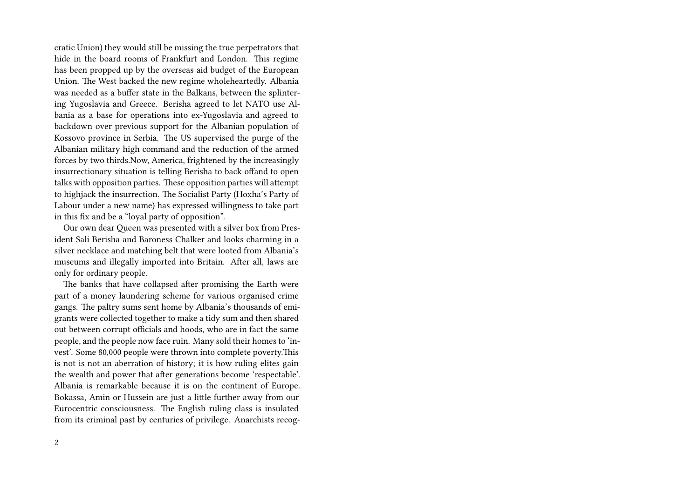cratic Union) they would still be missing the true perpetrators that hide in the board rooms of Frankfurt and London. This regime has been propped up by the overseas aid budget of the European Union. The West backed the new regime wholeheartedly. Albania was needed as a buffer state in the Balkans, between the splintering Yugoslavia and Greece. Berisha agreed to let NATO use Albania as a base for operations into ex-Yugoslavia and agreed to backdown over previous support for the Albanian population of Kossovo province in Serbia. The US supervised the purge of the Albanian military high command and the reduction of the armed forces by two thirds.Now, America, frightened by the increasingly insurrectionary situation is telling Berisha to back offand to open talks with opposition parties. These opposition parties will attempt to highjack the insurrection. The Socialist Party (Hoxha's Party of Labour under a new name) has expressed willingness to take part in this fix and be a "loyal party of opposition".

Our own dear Queen was presented with a silver box from President Sali Berisha and Baroness Chalker and looks charming in a silver necklace and matching belt that were looted from Albania's museums and illegally imported into Britain. After all, laws are only for ordinary people.

The banks that have collapsed after promising the Earth were part of a money laundering scheme for various organised crime gangs. The paltry sums sent home by Albania's thousands of emigrants were collected together to make a tidy sum and then shared out between corrupt officials and hoods, who are in fact the same people, and the people now face ruin. Many sold their homes to 'invest'. Some 80,000 people were thrown into complete poverty.This is not is not an aberration of history; it is how ruling elites gain the wealth and power that after generations become 'respectable'. Albania is remarkable because it is on the continent of Europe. Bokassa, Amin or Hussein are just a little further away from our Eurocentric consciousness. The English ruling class is insulated from its criminal past by centuries of privilege. Anarchists recog-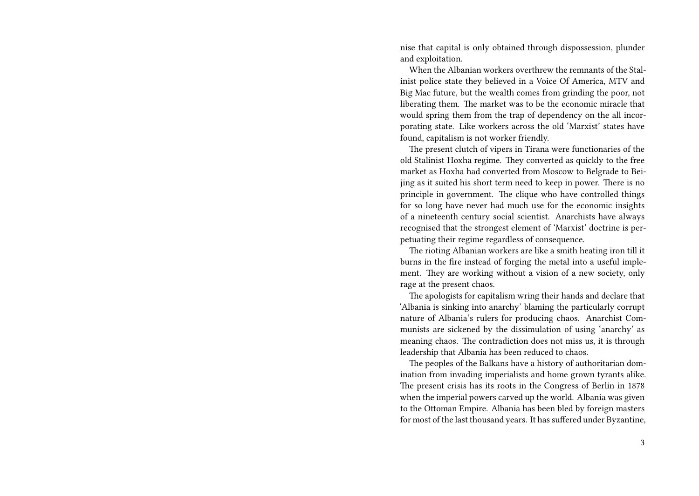nise that capital is only obtained through dispossession, plunder and exploitation.

When the Albanian workers overthrew the remnants of the Stalinist police state they believed in a Voice Of America, MTV and Big Mac future, but the wealth comes from grinding the poor, not liberating them. The market was to be the economic miracle that would spring them from the trap of dependency on the all incorporating state. Like workers across the old 'Marxist' states have found, capitalism is not worker friendly.

The present clutch of vipers in Tirana were functionaries of the old Stalinist Hoxha regime. They converted as quickly to the free market as Hoxha had converted from Moscow to Belgrade to Beijing as it suited his short term need to keep in power. There is no principle in government. The clique who have controlled things for so long have never had much use for the economic insights of a nineteenth century social scientist. Anarchists have always recognised that the strongest element of 'Marxist' doctrine is perpetuating their regime regardless of consequence.

The rioting Albanian workers are like a smith heating iron till it burns in the fire instead of forging the metal into a useful implement. They are working without a vision of a new society, only rage at the present chaos.

The apologists for capitalism wring their hands and declare that 'Albania is sinking into anarchy' blaming the particularly corrupt nature of Albania's rulers for producing chaos. Anarchist Communists are sickened by the dissimulation of using 'anarchy' as meaning chaos. The contradiction does not miss us, it is through leadership that Albania has been reduced to chaos.

The peoples of the Balkans have a history of authoritarian domination from invading imperialists and home grown tyrants alike. The present crisis has its roots in the Congress of Berlin in 1878 when the imperial powers carved up the world. Albania was given to the Ottoman Empire. Albania has been bled by foreign masters for most of the last thousand years. It has suffered under Byzantine,